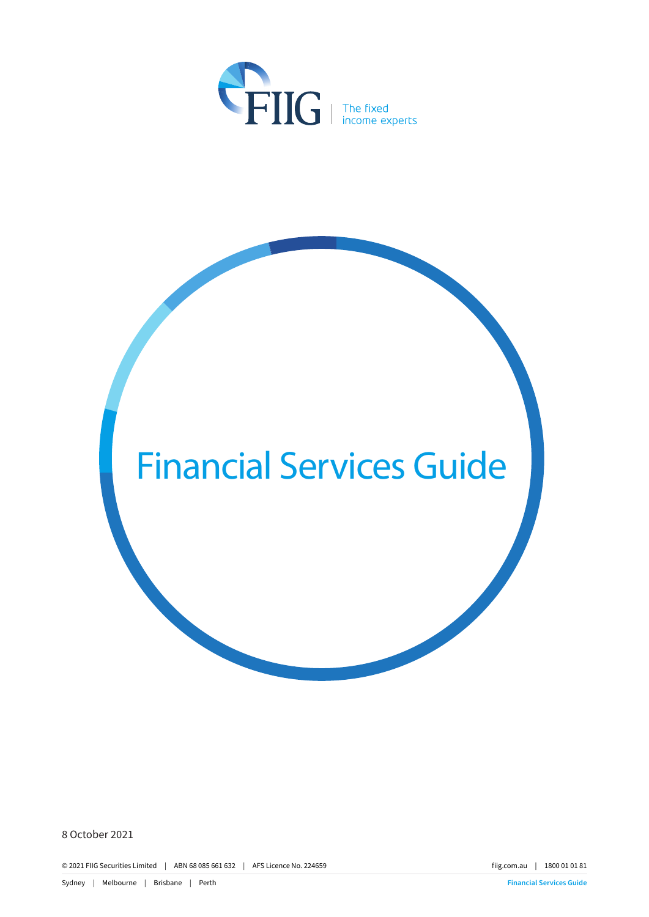

# Financial Services Guide

8 October 2021

© 2021 FIIG Securities Limited | ABN 68 085 661 632 | AFS Licence No. 224659 fiig.com.au | 1800 01 01 81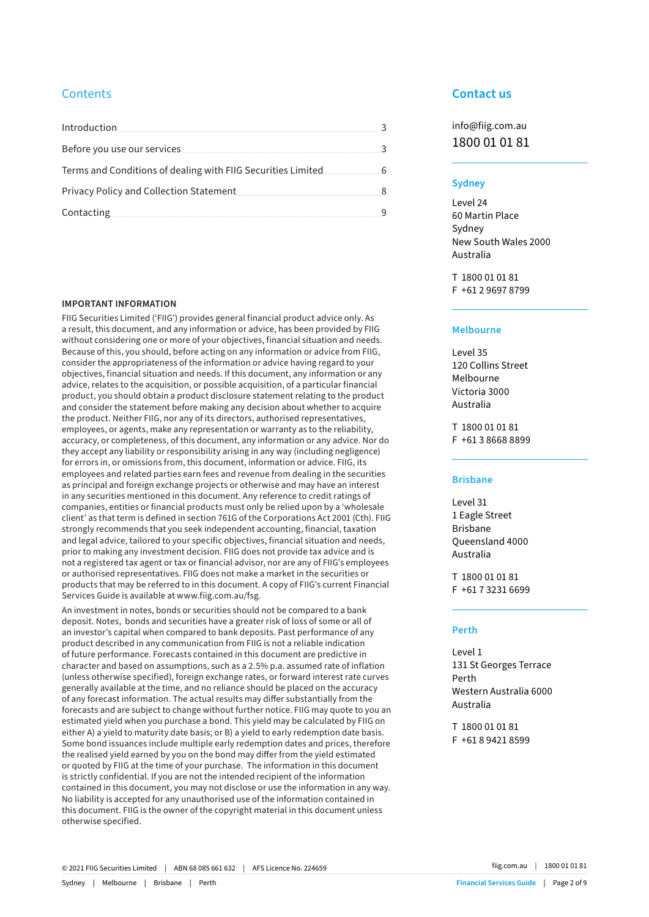# **Contents**

| Introduction                                                  |  |
|---------------------------------------------------------------|--|
| Before you use our services                                   |  |
| Terms and Conditions of dealing with FIIG Securities Limited. |  |
| <b>Privacy Policy and Collection Statement</b>                |  |
| Contacting                                                    |  |

#### **IMPORTANT INFORMATION**

FIIG Securities Limited ('FIIG') provides general financial product advice only. As a result, this document, and any information or advice, has been provided by FIIG without considering one or more of your objectives, financial situation and needs. Because of this, you should, before acting on any information or advice from FIIG, consider the appropriateness of the information or advice having regard to your objectives, financial situation and needs. If this document, any information or any advice, relates to the acquisition, or possible acquisition, of a particular financial product, you should obtain a product disclosure statement relating to the product and consider the statement before making any decision about whether to acquire the product. Neither FIIG, nor any of its directors, authorised representatives, employees, or agents, make any representation or warranty as to the reliability, accuracy, or completeness, of this document, any information or any advice. Nor do they accept any liability or responsibility arising in any way (including negligence) for errors in, or omissions from, this document, information or advice. FIIG, its employees and related parties earn fees and revenue from dealing in the securities as principal and foreign exchange projects or otherwise and may have an interest in any securities mentioned in this document. Any reference to credit ratings of companies, entities or financial products must only be relied upon by a 'wholesale client' as that term is defined in section 761G of the Corporations Act 2001 (Cth). FIIG strongly recommends that you seek independent accounting, financial, taxation and legal advice, tailored to your specific objectives, financial situation and needs, prior to making any investment decision. FIIG does not provide tax advice and is not a registered tax agent or tax or financial advisor, nor are any of FIIG's employees or authorised representatives. FIIG does not make a market in the securities or products that may be referred to in this document. A copy of FIIG's current Financial Services Guide is available at www.fiig.com.au/fsg.

An investment in notes, bonds or securities should not be compared to a bank deposit. Notes, bonds and securities have a greater risk of loss of some or all of an investor's capital when compared to bank deposits. Past performance of any product described in any communication from FIIG is not a reliable indication of future performance. Forecasts contained in this document are predictive in character and based on assumptions, such as a 2.5% p.a. assumed rate of inflation (unless otherwise specified), foreign exchange rates, or forward interest rate curves generally available at the time, and no reliance should be placed on the accuracy of any forecast information. The actual results may differ substantially from the forecasts and are subject to change without further notice. FIIG may quote to you an estimated yield when you purchase a bond. This yield may be calculated by FIIG on either A) a yield to maturity date basis; or B) a yield to early redemption date basis. Some bond issuances include multiple early redemption dates and prices, therefore the realised yield earned by you on the bond may differ from the yield estimated or quoted by FIIG at the time of your purchase. The information in this document is strictly confidential. If you are not the intended recipient of the information contained in this document, you may not disclose or use the information in any way. No liability is accepted for any unauthorised use of the information contained in this document. FIIG is the owner of the copyright material in this document unless otherwise specified.

## **Contact us**

info@fiig.com.au 1800 01 01 81

#### **Sydney**

Level 24 60 Martin Place Sydney New South Wales 2000 Australia

T 1800 01 01 81 F +61 2 9697 8799

#### **Melbourne**

Level 35 120 Collins Street Melbourne Victoria 3000 Australia

T 1800 01 01 81 F +61 3 8668 8899

#### **Brisbane**

Level 31 1 Eagle Street Brisbane Queensland 4000 Australia

T 1800 01 01 81 F +61 7 3231 6699

#### **Perth**

Level 1 131 St Georges Terrace Perth Western Australia 6000 Australia

T 1800 01 01 81 F +61 8 9421 8599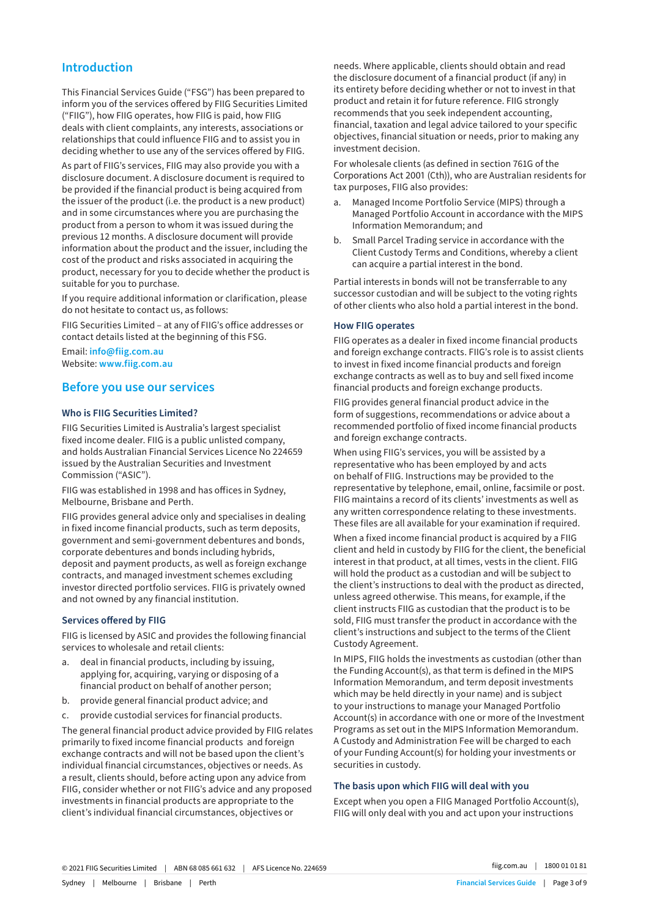# **Introduction**

This Financial Services Guide ("FSG") has been prepared to inform you of the services offered by FIIG Securities Limited ("FIIG"), how FIIG operates, how FIIG is paid, how FIIG deals with client complaints, any interests, associations or relationships that could influence FIIG and to assist you in deciding whether to use any of the services offered by FIIG.

As part of FIIG's services, FIIG may also provide you with a disclosure document. A disclosure document is required to be provided if the financial product is being acquired from the issuer of the product (i.e. the product is a new product) and in some circumstances where you are purchasing the product from a person to whom it was issued during the previous 12 months. A disclosure document will provide information about the product and the issuer, including the cost of the product and risks associated in acquiring the product, necessary for you to decide whether the product is suitable for you to purchase.

If you require additional information or clarification, please do not hesitate to contact us, as follows:

FIIG Securities Limited – at any of FIIG's office addresses or contact details listed at the beginning of this FSG.

Email: **info@fiig.com.au** Website: **www.fiig.com.au**

#### **Before you use our services**

#### **Who is FIIG Securities Limited?**

FIIG Securities Limited is Australia's largest specialist fixed income dealer. FIIG is a public unlisted company, and holds Australian Financial Services Licence No 224659 issued by the Australian Securities and Investment Commission ("ASIC").

FIIG was established in 1998 and has offices in Sydney, Melbourne, Brisbane and Perth.

FIIG provides general advice only and specialises in dealing in fixed income financial products, such as term deposits, government and semi-government debentures and bonds, corporate debentures and bonds including hybrids, deposit and payment products, as well as foreign exchange contracts, and managed investment schemes excluding investor directed portfolio services. FIIG is privately owned and not owned by any financial institution.

#### **Services offered by FIIG**

FIIG is licensed by ASIC and provides the following financial services to wholesale and retail clients:

- a. deal in financial products, including by issuing, applying for, acquiring, varying or disposing of a financial product on behalf of another person;
- b. provide general financial product advice; and
- c. provide custodial services for financial products.

The general financial product advice provided by FIIG relates primarily to fixed income financial products and foreign exchange contracts and will not be based upon the client's individual financial circumstances, objectives or needs. As a result, clients should, before acting upon any advice from FIIG, consider whether or not FIIG's advice and any proposed investments in financial products are appropriate to the client's individual financial circumstances, objectives or

needs. Where applicable, clients should obtain and read the disclosure document of a financial product (if any) in its entirety before deciding whether or not to invest in that product and retain it for future reference. FIIG strongly recommends that you seek independent accounting, financial, taxation and legal advice tailored to your specific objectives, financial situation or needs, prior to making any investment decision.

For wholesale clients (as defined in section 761G of the Corporations Act 2001 (Cth)), who are Australian residents for tax purposes, FIIG also provides:

- a. Managed Income Portfolio Service (MIPS) through a Managed Portfolio Account in accordance with the MIPS Information Memorandum; and
- b. Small Parcel Trading service in accordance with the Client Custody Terms and Conditions, whereby a client can acquire a partial interest in the bond.

Partial interests in bonds will not be transferrable to any successor custodian and will be subject to the voting rights of other clients who also hold a partial interest in the bond.

#### **How FIIG operates**

FIIG operates as a dealer in fixed income financial products and foreign exchange contracts. FIIG's role is to assist clients to invest in fixed income financial products and foreign exchange contracts as well as to buy and sell fixed income financial products and foreign exchange products.

FIIG provides general financial product advice in the form of suggestions, recommendations or advice about a recommended portfolio of fixed income financial products and foreign exchange contracts.

When using FIIG's services, you will be assisted by a representative who has been employed by and acts on behalf of FIIG. Instructions may be provided to the representative by telephone, email, online, facsimile or post. FIIG maintains a record of its clients' investments as well as any written correspondence relating to these investments. These files are all available for your examination if required.

When a fixed income financial product is acquired by a FIIG client and held in custody by FIIG for the client, the beneficial interest in that product, at all times, vests in the client. FIIG will hold the product as a custodian and will be subject to the client's instructions to deal with the product as directed, unless agreed otherwise. This means, for example, if the client instructs FIIG as custodian that the product is to be sold, FIIG must transfer the product in accordance with the client's instructions and subject to the terms of the Client Custody Agreement.

In MIPS, FIIG holds the investments as custodian (other than the Funding Account(s), as that term is defined in the MIPS Information Memorandum, and term deposit investments which may be held directly in your name) and is subject to your instructions to manage your Managed Portfolio Account(s) in accordance with one or more of the Investment Programs as set out in the MIPS Information Memorandum. A Custody and Administration Fee will be charged to each of your Funding Account(s) for holding your investments or securities in custody.

#### **The basis upon which FIIG will deal with you**

Except when you open a FIIG Managed Portfolio Account(s), FIIG will only deal with you and act upon your instructions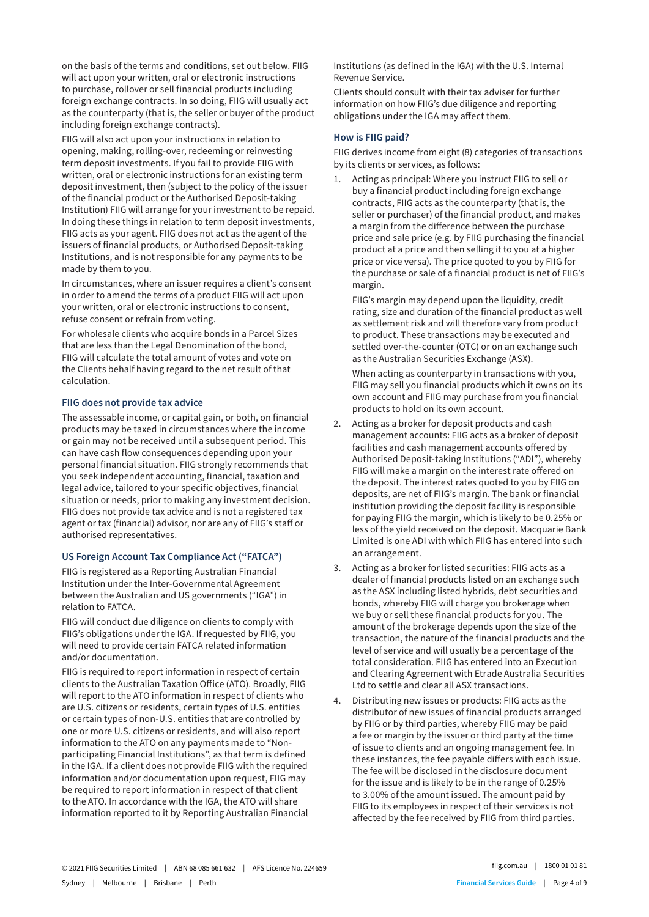on the basis of the terms and conditions, set out below. FIIG will act upon your written, oral or electronic instructions to purchase, rollover or sell financial products including foreign exchange contracts. In so doing, FIIG will usually act as the counterparty (that is, the seller or buyer of the product including foreign exchange contracts).

FIIG will also act upon your instructions in relation to opening, making, rolling-over, redeeming or reinvesting term deposit investments. If you fail to provide FIIG with written, oral or electronic instructions for an existing term deposit investment, then (subject to the policy of the issuer of the financial product or the Authorised Deposit-taking Institution) FIIG will arrange for your investment to be repaid. In doing these things in relation to term deposit investments, FIIG acts as your agent. FIIG does not act as the agent of the issuers of financial products, or Authorised Deposit-taking Institutions, and is not responsible for any payments to be made by them to you.

In circumstances, where an issuer requires a client's consent in order to amend the terms of a product FIIG will act upon your written, oral or electronic instructions to consent, refuse consent or refrain from voting.

For wholesale clients who acquire bonds in a Parcel Sizes that are less than the Legal Denomination of the bond, FIIG will calculate the total amount of votes and vote on the Clients behalf having regard to the net result of that calculation.

#### **FIIG does not provide tax advice**

The assessable income, or capital gain, or both, on financial products may be taxed in circumstances where the income or gain may not be received until a subsequent period. This can have cash flow consequences depending upon your personal financial situation. FIIG strongly recommends that you seek independent accounting, financial, taxation and legal advice, tailored to your specific objectives, financial situation or needs, prior to making any investment decision. FIIG does not provide tax advice and is not a registered tax agent or tax (financial) advisor, nor are any of FIIG's staff or authorised representatives.

#### **US Foreign Account Tax Compliance Act ("FATCA")**

FIIG is registered as a Reporting Australian Financial Institution under the Inter-Governmental Agreement between the Australian and US governments ("IGA") in relation to FATCA.

FIIG will conduct due diligence on clients to comply with FIIG's obligations under the IGA. If requested by FIIG, you will need to provide certain FATCA related information and/or documentation.

FIIG is required to report information in respect of certain clients to the Australian Taxation Office (ATO). Broadly, FIIG will report to the ATO information in respect of clients who are U.S. citizens or residents, certain types of U.S. entities or certain types of non-U.S. entities that are controlled by one or more U.S. citizens or residents, and will also report information to the ATO on any payments made to "Nonparticipating Financial Institutions", as that term is defined in the IGA. If a client does not provide FIIG with the required information and/or documentation upon request, FIIG may be required to report information in respect of that client to the ATO. In accordance with the IGA, the ATO will share information reported to it by Reporting Australian Financial Institutions (as defined in the IGA) with the U.S. Internal Revenue Service.

Clients should consult with their tax adviser for further information on how FIIG's due diligence and reporting obligations under the IGA may affect them.

#### **How is FIIG paid?**

FIIG derives income from eight (8) categories of transactions by its clients or services, as follows:

1. Acting as principal: Where you instruct FIIG to sell or buy a financial product including foreign exchange contracts, FIIG acts as the counterparty (that is, the seller or purchaser) of the financial product, and makes a margin from the difference between the purchase price and sale price (e.g. by FIIG purchasing the financial product at a price and then selling it to you at a higher price or vice versa). The price quoted to you by FIIG for the purchase or sale of a financial product is net of FIIG's margin.

FIIG's margin may depend upon the liquidity, credit rating, size and duration of the financial product as well as settlement risk and will therefore vary from product to product. These transactions may be executed and settled over-the-counter (OTC) or on an exchange such as the Australian Securities Exchange (ASX).

When acting as counterparty in transactions with you, FIIG may sell you financial products which it owns on its own account and FIIG may purchase from you financial products to hold on its own account.

- 2. Acting as a broker for deposit products and cash management accounts: FIIG acts as a broker of deposit facilities and cash management accounts offered by Authorised Deposit-taking Institutions ("ADI"), whereby FIIG will make a margin on the interest rate offered on the deposit. The interest rates quoted to you by FIIG on deposits, are net of FIIG's margin. The bank or financial institution providing the deposit facility is responsible for paying FIIG the margin, which is likely to be 0.25% or less of the yield received on the deposit. Macquarie Bank Limited is one ADI with which FIIG has entered into such an arrangement.
- 3. Acting as a broker for listed securities: FIIG acts as a dealer of financial products listed on an exchange such as the ASX including listed hybrids, debt securities and bonds, whereby FIIG will charge you brokerage when we buy or sell these financial products for you. The amount of the brokerage depends upon the size of the transaction, the nature of the financial products and the level of service and will usually be a percentage of the total consideration. FIIG has entered into an Execution and Clearing Agreement with Etrade Australia Securities Ltd to settle and clear all ASX transactions.
- 4. Distributing new issues or products: FIIG acts as the distributor of new issues of financial products arranged by FIIG or by third parties, whereby FIIG may be paid a fee or margin by the issuer or third party at the time of issue to clients and an ongoing management fee. In these instances, the fee payable differs with each issue. The fee will be disclosed in the disclosure document for the issue and is likely to be in the range of 0.25% to 3.00% of the amount issued. The amount paid by FIIG to its employees in respect of their services is not affected by the fee received by FIIG from third parties.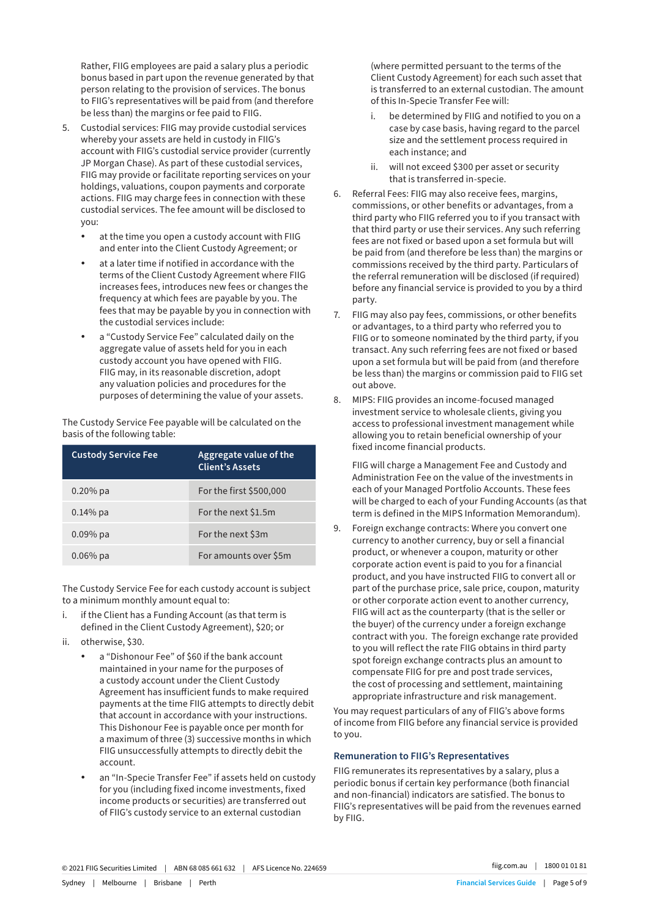Rather, FIIG employees are paid a salary plus a periodic bonus based in part upon the revenue generated by that person relating to the provision of services. The bonus to FIIG's representatives will be paid from (and therefore be less than) the margins or fee paid to FIIG.

- 5. Custodial services: FIIG may provide custodial services whereby your assets are held in custody in FIIG's account with FIIG's custodial service provider (currently JP Morgan Chase). As part of these custodial services, FIIG may provide or facilitate reporting services on your holdings, valuations, coupon payments and corporate actions. FIIG may charge fees in connection with these custodial services. The fee amount will be disclosed to you:
	- at the time you open a custody account with FIIG and enter into the Client Custody Agreement; or
	- at a later time if notified in accordance with the terms of the Client Custody Agreement where FIIG increases fees, introduces new fees or changes the frequency at which fees are payable by you. The fees that may be payable by you in connection with the custodial services include:
	- a "Custody Service Fee" calculated daily on the aggregate value of assets held for you in each custody account you have opened with FIIG. FIIG may, in its reasonable discretion, adopt any valuation policies and procedures for the purposes of determining the value of your assets.

The Custody Service Fee payable will be calculated on the basis of the following table:

| <b>Custody Service Fee</b> | Aggregate value of the<br><b>Client's Assets</b> |
|----------------------------|--------------------------------------------------|
| $0.20\%$ pa                | For the first \$500,000                          |
| $0.14%$ pa                 | For the next \$1.5m                              |
| $0.09%$ pa                 | For the next \$3m                                |
| $0.06\%$ pa                | For amounts over \$5m                            |

The Custody Service Fee for each custody account is subject to a minimum monthly amount equal to:

- i. if the Client has a Funding Account (as that term is defined in the Client Custody Agreement), \$20; or
- ii. otherwise, \$30.
	- a "Dishonour Fee" of \$60 if the bank account maintained in your name for the purposes of a custody account under the Client Custody Agreement has insufficient funds to make required payments at the time FIIG attempts to directly debit that account in accordance with your instructions. This Dishonour Fee is payable once per month for a maximum of three (3) successive months in which FIIG unsuccessfully attempts to directly debit the account.
	- an "In-Specie Transfer Fee" if assets held on custody for you (including fixed income investments, fixed income products or securities) are transferred out of FIIG's custody service to an external custodian

(where permitted persuant to the terms of the Client Custody Agreement) for each such asset that is transferred to an external custodian. The amount of this In-Specie Transfer Fee will:

- i. be determined by FIIG and notified to you on a case by case basis, having regard to the parcel size and the settlement process required in each instance; and
- ii. will not exceed \$300 per asset or security that is transferred in-specie.
- 6. Referral Fees: FIIG may also receive fees, margins, commissions, or other benefits or advantages, from a third party who FIIG referred you to if you transact with that third party or use their services. Any such referring fees are not fixed or based upon a set formula but will be paid from (and therefore be less than) the margins or commissions received by the third party. Particulars of the referral remuneration will be disclosed (if required) before any financial service is provided to you by a third party.
- 7. FIIG may also pay fees, commissions, or other benefits or advantages, to a third party who referred you to FIIG or to someone nominated by the third party, if you transact. Any such referring fees are not fixed or based upon a set formula but will be paid from (and therefore be less than) the margins or commission paid to FIIG set out above.
- 8. MIPS: FIIG provides an income-focused managed investment service to wholesale clients, giving you access to professional investment management while allowing you to retain beneficial ownership of your fixed income financial products.

FIIG will charge a Management Fee and Custody and Administration Fee on the value of the investments in each of your Managed Portfolio Accounts. These fees will be charged to each of your Funding Accounts (as that term is defined in the MIPS Information Memorandum).

9. Foreign exchange contracts: Where you convert one currency to another currency, buy or sell a financial product, or whenever a coupon, maturity or other corporate action event is paid to you for a financial product, and you have instructed FIIG to convert all or part of the purchase price, sale price, coupon, maturity or other corporate action event to another currency, FIIG will act as the counterparty (that is the seller or the buyer) of the currency under a foreign exchange contract with you. The foreign exchange rate provided to you will reflect the rate FIIG obtains in third party spot foreign exchange contracts plus an amount to compensate FIIG for pre and post trade services, the cost of processing and settlement, maintaining appropriate infrastructure and risk management.

You may request particulars of any of FIIG's above forms of income from FIIG before any financial service is provided to you.

#### **Remuneration to FIIG's Representatives**

FIIG remunerates its representatives by a salary, plus a periodic bonus if certain key performance (both financial and non-financial) indicators are satisfied. The bonus to FIIG's representatives will be paid from the revenues earned by FIIG.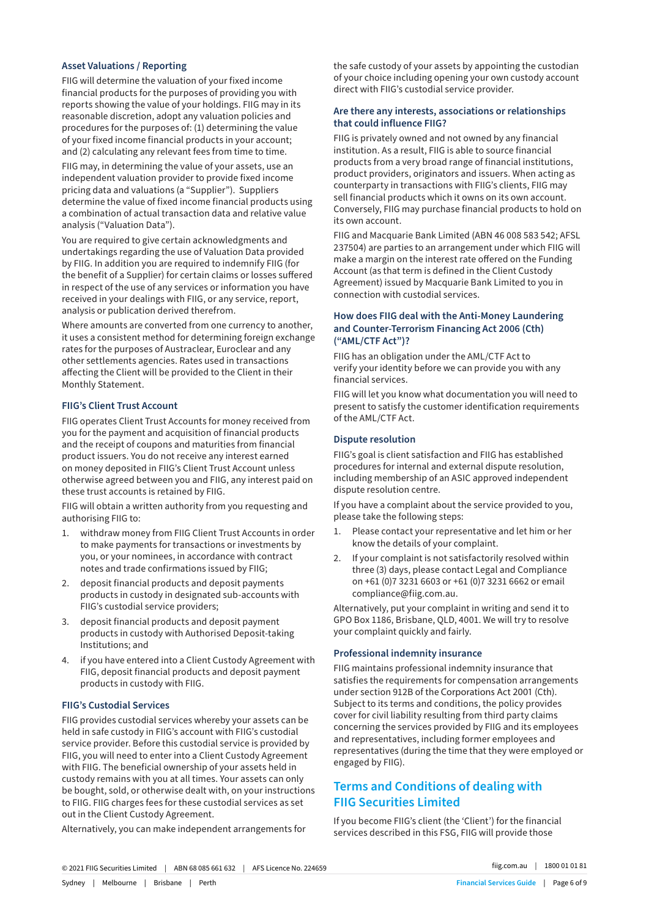#### **Asset Valuations / Reporting**

FIIG will determine the valuation of your fixed income financial products for the purposes of providing you with reports showing the value of your holdings. FIIG may in its reasonable discretion, adopt any valuation policies and procedures for the purposes of: (1) determining the value of your fixed income financial products in your account; and (2) calculating any relevant fees from time to time.

FIIG may, in determining the value of your assets, use an independent valuation provider to provide fixed income pricing data and valuations (a "Supplier"). Suppliers determine the value of fixed income financial products using a combination of actual transaction data and relative value analysis ("Valuation Data").

You are required to give certain acknowledgments and undertakings regarding the use of Valuation Data provided by FIIG. In addition you are required to indemnify FIIG (for the benefit of a Supplier) for certain claims or losses suffered in respect of the use of any services or information you have received in your dealings with FIIG, or any service, report, analysis or publication derived therefrom.

Where amounts are converted from one currency to another, it uses a consistent method for determining foreign exchange rates for the purposes of Austraclear, Euroclear and any other settlements agencies. Rates used in transactions affecting the Client will be provided to the Client in their Monthly Statement.

#### **FIIG's Client Trust Account**

FIIG operates Client Trust Accounts for money received from you for the payment and acquisition of financial products and the receipt of coupons and maturities from financial product issuers. You do not receive any interest earned on money deposited in FIIG's Client Trust Account unless otherwise agreed between you and FIIG, any interest paid on these trust accounts is retained by FIIG.

FIIG will obtain a written authority from you requesting and authorising FIIG to:

- 1. withdraw money from FIIG Client Trust Accounts in order to make payments for transactions or investments by you, or your nominees, in accordance with contract notes and trade confirmations issued by FIIG;
- 2. deposit financial products and deposit payments products in custody in designated sub-accounts with FIIG's custodial service providers;
- 3. deposit financial products and deposit payment products in custody with Authorised Deposit-taking Institutions; and
- 4. if you have entered into a Client Custody Agreement with FIIG, deposit financial products and deposit payment products in custody with FIIG.

#### **FIIG's Custodial Services**

FIIG provides custodial services whereby your assets can be held in safe custody in FIIG's account with FIIG's custodial service provider. Before this custodial service is provided by FIIG, you will need to enter into a Client Custody Agreement with FIIG. The beneficial ownership of your assets held in custody remains with you at all times. Your assets can only be bought, sold, or otherwise dealt with, on your instructions to FIIG. FIIG charges fees for these custodial services as set out in the Client Custody Agreement.

Alternatively, you can make independent arrangements for

the safe custody of your assets by appointing the custodian of your choice including opening your own custody account direct with FIIG's custodial service provider.

#### **Are there any interests, associations or relationships that could influence FIIG?**

FIIG is privately owned and not owned by any financial institution. As a result, FIIG is able to source financial products from a very broad range of financial institutions, product providers, originators and issuers. When acting as counterparty in transactions with FIIG's clients, FIIG may sell financial products which it owns on its own account. Conversely, FIIG may purchase financial products to hold on its own account.

FIIG and Macquarie Bank Limited (ABN 46 008 583 542; AFSL 237504) are parties to an arrangement under which FIIG will make a margin on the interest rate offered on the Funding Account (as that term is defined in the Client Custody Agreement) issued by Macquarie Bank Limited to you in connection with custodial services.

#### **How does FIIG deal with the Anti-Money Laundering and Counter-Terrorism Financing Act 2006 (Cth) ("AML/CTF Act")?**

FIIG has an obligation under the AML/CTF Act to verify your identity before we can provide you with any financial services.

FIIG will let you know what documentation you will need to present to satisfy the customer identification requirements of the AML/CTF Act.

#### **Dispute resolution**

FIIG's goal is client satisfaction and FIIG has established procedures for internal and external dispute resolution, including membership of an ASIC approved independent dispute resolution centre.

If you have a complaint about the service provided to you, please take the following steps:

- 1. Please contact your representative and let him or her know the details of your complaint.
- 2. If your complaint is not satisfactorily resolved within three (3) days, please contact Legal and Compliance on +61 (0)7 3231 6603 or +61 (0)7 3231 6662 or email compliance@fiig.com.au.

Alternatively, put your complaint in writing and send it to GPO Box 1186, Brisbane, QLD, 4001. We will try to resolve your complaint quickly and fairly.

#### **Professional indemnity insurance**

FIIG maintains professional indemnity insurance that satisfies the requirements for compensation arrangements under section 912B of the Corporations Act 2001 (Cth). Subject to its terms and conditions, the policy provides cover for civil liability resulting from third party claims concerning the services provided by FIIG and its employees and representatives, including former employees and representatives (during the time that they were employed or engaged by FIIG).

# **Terms and Conditions of dealing with FIIG Securities Limited**

If you become FIIG's client (the 'Client') for the financial services described in this FSG, FIIG will provide those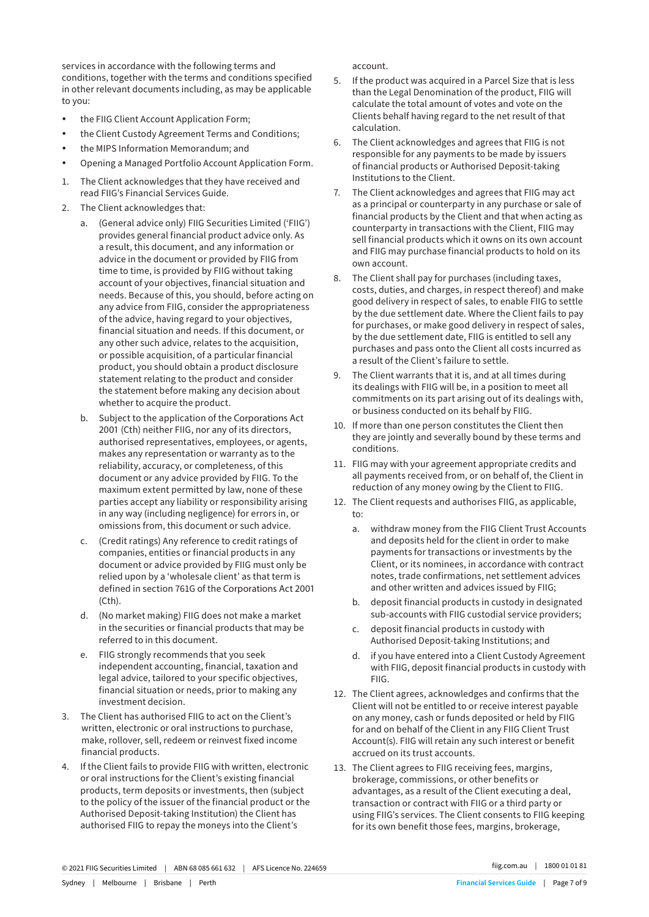services in accordance with the following terms and conditions, together with the terms and conditions specified in other relevant documents including, as may be applicable to you:

- the FIIG Client Account Application Form;
- the Client Custody Agreement Terms and Conditions;
- the MIPS Information Memorandum; and
- Opening a Managed Portfolio Account Application Form.
- 1. The Client acknowledges that they have received and read FIIG's Financial Services Guide.
- 2. The Client acknowledges that:
	- a. (General advice only) FIIG Securities Limited ('FIIG') provides general financial product advice only. As a result, this document, and any information or advice in the document or provided by FIIG from time to time, is provided by FIIG without taking account of your objectives, financial situation and needs. Because of this, you should, before acting on any advice from FIIG, consider the appropriateness of the advice, having regard to your objectives, financial situation and needs. If this document, or any other such advice, relates to the acquisition, or possible acquisition, of a particular financial product, you should obtain a product disclosure statement relating to the product and consider the statement before making any decision about whether to acquire the product.
	- b. Subject to the application of the Corporations Act 2001 (Cth) neither FIIG, nor any of its directors, authorised representatives, employees, or agents, makes any representation or warranty as to the reliability, accuracy, or completeness, of this document or any advice provided by FIIG. To the maximum extent permitted by law, none of these parties accept any liability or responsibility arising in any way (including negligence) for errors in, or omissions from, this document or such advice.
	- c. (Credit ratings) Any reference to credit ratings of companies, entities or financial products in any document or advice provided by FIIG must only be relied upon by a 'wholesale client' as that term is defined in section 761G of the Corporations Act 2001 (Cth).
	- d. (No market making) FIIG does not make a market in the securities or financial products that may be referred to in this document.
	- e. FIIG strongly recommends that you seek independent accounting, financial, taxation and legal advice, tailored to your specific objectives, financial situation or needs, prior to making any investment decision.
- 3. The Client has authorised FIIG to act on the Client's written, electronic or oral instructions to purchase, make, rollover, sell, redeem or reinvest fixed income financial products.
- 4. If the Client fails to provide FIIG with written, electronic or oral instructions for the Client's existing financial products, term deposits or investments, then (subject to the policy of the issuer of the financial product or the Authorised Deposit-taking Institution) the Client has authorised FIIG to repay the moneys into the Client's

account.

- 5. If the product was acquired in a Parcel Size that is less than the Legal Denomination of the product, FIIG will calculate the total amount of votes and vote on the Clients behalf having regard to the net result of that calculation.
- 6. The Client acknowledges and agrees that FIIG is not responsible for any payments to be made by issuers of financial products or Authorised Deposit-taking Institutions to the Client.
- 7. The Client acknowledges and agrees that FIIG may act as a principal or counterparty in any purchase or sale of financial products by the Client and that when acting as counterparty in transactions with the Client, FIIG may sell financial products which it owns on its own account and FIIG may purchase financial products to hold on its own account.
- 8. The Client shall pay for purchases (including taxes, costs, duties, and charges, in respect thereof) and make good delivery in respect of sales, to enable FIIG to settle by the due settlement date. Where the Client fails to pay for purchases, or make good delivery in respect of sales, by the due settlement date, FIIG is entitled to sell any purchases and pass onto the Client all costs incurred as a result of the Client's failure to settle.
- 9. The Client warrants that it is, and at all times during its dealings with FIIG will be, in a position to meet all commitments on its part arising out of its dealings with, or business conducted on its behalf by FIIG.
- 10. If more than one person constitutes the Client then they are jointly and severally bound by these terms and conditions.
- 11. FIIG may with your agreement appropriate credits and all payments received from, or on behalf of, the Client in reduction of any money owing by the Client to FIIG.
- 12. The Client requests and authorises FIIG, as applicable, to:
	- a. withdraw money from the FIIG Client Trust Accounts and deposits held for the client in order to make payments for transactions or investments by the Client, or its nominees, in accordance with contract notes, trade confirmations, net settlement advices and other written and advices issued by FIIG;
	- b. deposit financial products in custody in designated sub-accounts with FIIG custodial service providers;
	- c. deposit financial products in custody with Authorised Deposit-taking Institutions; and
	- d. if you have entered into a Client Custody Agreement with FIIG, deposit financial products in custody with FIIG.
- 12. The Client agrees, acknowledges and confirms that the Client will not be entitled to or receive interest payable on any money, cash or funds deposited or held by FIIG for and on behalf of the Client in any FIIG Client Trust Account(s). FIIG will retain any such interest or benefit accrued on its trust accounts.
- 13. The Client agrees to FIIG receiving fees, margins, brokerage, commissions, or other benefits or advantages, as a result of the Client executing a deal, transaction or contract with FIIG or a third party or using FIIG's services. The Client consents to FIIG keeping for its own benefit those fees, margins, brokerage,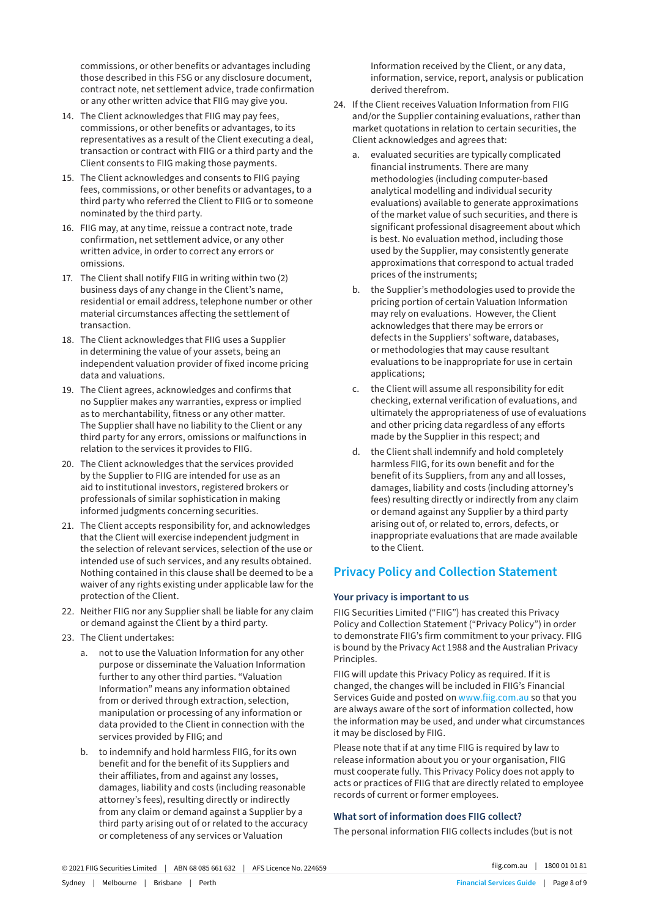commissions, or other benefits or advantages including those described in this FSG or any disclosure document, contract note, net settlement advice, trade confirmation or any other written advice that FIIG may give you.

- 14. The Client acknowledges that FIIG may pay fees, commissions, or other benefits or advantages, to its representatives as a result of the Client executing a deal, transaction or contract with FIIG or a third party and the Client consents to FIIG making those payments.
- 15. The Client acknowledges and consents to FIIG paying fees, commissions, or other benefits or advantages, to a third party who referred the Client to FIIG or to someone nominated by the third party.
- 16. FIIG may, at any time, reissue a contract note, trade confirmation, net settlement advice, or any other written advice, in order to correct any errors or omissions.
- 17. The Client shall notify FIIG in writing within two (2) business days of any change in the Client's name, residential or email address, telephone number or other material circumstances affecting the settlement of transaction.
- 18. The Client acknowledges that FIIG uses a Supplier in determining the value of your assets, being an independent valuation provider of fixed income pricing data and valuations.
- 19. The Client agrees, acknowledges and confirms that no Supplier makes any warranties, express or implied as to merchantability, fitness or any other matter. The Supplier shall have no liability to the Client or any third party for any errors, omissions or malfunctions in relation to the services it provides to FIIG.
- 20. The Client acknowledges that the services provided by the Supplier to FIIG are intended for use as an aid to institutional investors, registered brokers or professionals of similar sophistication in making informed judgments concerning securities.
- 21. The Client accepts responsibility for, and acknowledges that the Client will exercise independent judgment in the selection of relevant services, selection of the use or intended use of such services, and any results obtained. Nothing contained in this clause shall be deemed to be a waiver of any rights existing under applicable law for the protection of the Client.
- 22. Neither FIIG nor any Supplier shall be liable for any claim or demand against the Client by a third party.
- 23. The Client undertakes:
	- a. not to use the Valuation Information for any other purpose or disseminate the Valuation Information further to any other third parties. "Valuation Information" means any information obtained from or derived through extraction, selection, manipulation or processing of any information or data provided to the Client in connection with the services provided by FIIG; and
	- b. to indemnify and hold harmless FIIG, for its own benefit and for the benefit of its Suppliers and their affiliates, from and against any losses, damages, liability and costs (including reasonable attorney's fees), resulting directly or indirectly from any claim or demand against a Supplier by a third party arising out of or related to the accuracy or completeness of any services or Valuation

Information received by the Client, or any data, information, service, report, analysis or publication derived therefrom.

- 24. If the Client receives Valuation Information from FIIG and/or the Supplier containing evaluations, rather than market quotations in relation to certain securities, the Client acknowledges and agrees that:
	- a. evaluated securities are typically complicated financial instruments. There are many methodologies (including computer-based analytical modelling and individual security evaluations) available to generate approximations of the market value of such securities, and there is significant professional disagreement about which is best. No evaluation method, including those used by the Supplier, may consistently generate approximations that correspond to actual traded prices of the instruments;
	- b. the Supplier's methodologies used to provide the pricing portion of certain Valuation Information may rely on evaluations. However, the Client acknowledges that there may be errors or defects in the Suppliers' software, databases, or methodologies that may cause resultant evaluations to be inappropriate for use in certain applications;
	- c. the Client will assume all responsibility for edit checking, external verification of evaluations, and ultimately the appropriateness of use of evaluations and other pricing data regardless of any efforts made by the Supplier in this respect; and
	- d. the Client shall indemnify and hold completely harmless FIIG, for its own benefit and for the benefit of its Suppliers, from any and all losses, damages, liability and costs (including attorney's fees) resulting directly or indirectly from any claim or demand against any Supplier by a third party arising out of, or related to, errors, defects, or inappropriate evaluations that are made available to the Client.

# **Privacy Policy and Collection Statement**

#### **Your privacy is important to us**

FIIG Securities Limited ("FIIG") has created this Privacy Policy and Collection Statement ("Privacy Policy") in order to demonstrate FIIG's firm commitment to your privacy. FIIG is bound by the Privacy Act 1988 and the Australian Privacy Principles.

FIIG will update this Privacy Policy as required. If it is changed, the changes will be included in FIIG's Financial Services Guide and posted on www.fiig.com.au so that you are always aware of the sort of information collected, how the information may be used, and under what circumstances it may be disclosed by FIIG.

Please note that if at any time FIIG is required by law to release information about you or your organisation, FIIG must cooperate fully. This Privacy Policy does not apply to acts or practices of FIIG that are directly related to employee records of current or former employees.

## **What sort of information does FIIG collect?**

The personal information FIIG collects includes (but is not